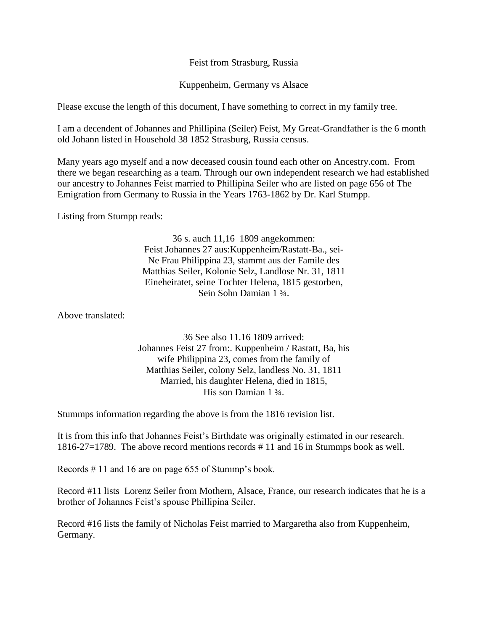Feist from Strasburg, Russia

Kuppenheim, Germany vs Alsace

Please excuse the length of this document, I have something to correct in my family tree.

I am a decendent of Johannes and Phillipina (Seiler) Feist, My Great-Grandfather is the 6 month old Johann listed in Household 38 1852 Strasburg, Russia census.

Many years ago myself and a now deceased cousin found each other on Ancestry.com. From there we began researching as a team. Through our own independent research we had established our ancestry to Johannes Feist married to Phillipina Seiler who are listed on page 656 of The Emigration from Germany to Russia in the Years 1763-1862 by Dr. Karl Stumpp.

Listing from Stumpp reads:

36 s. auch 11,16 1809 angekommen: Feist Johannes 27 aus:Kuppenheim/Rastatt-Ba., sei-Ne Frau Philippina 23, stammt aus der Famile des Matthias Seiler, Kolonie Selz, Landlose Nr. 31, 1811 Eineheiratet, seine Tochter Helena, 1815 gestorben, Sein Sohn Damian 1 ¾.

Above translated:

36 See also 11.16 1809 arrived: Johannes Feist 27 from:. Kuppenheim / Rastatt, Ba, his wife Philippina 23, comes from the family of Matthias Seiler, colony Selz, landless No. 31, 1811 Married, his daughter Helena, died in 1815, His son Damian 1 ¾.

Stummps information regarding the above is from the 1816 revision list.

It is from this info that Johannes Feist's Birthdate was originally estimated in our research. 1816-27=1789. The above record mentions records # 11 and 16 in Stummps book as well.

Records # 11 and 16 are on page 655 of Stummp's book.

Record #11 lists Lorenz Seiler from Mothern, Alsace, France, our research indicates that he is a brother of Johannes Feist's spouse Phillipina Seiler.

Record #16 lists the family of Nicholas Feist married to Margaretha also from Kuppenheim, Germany.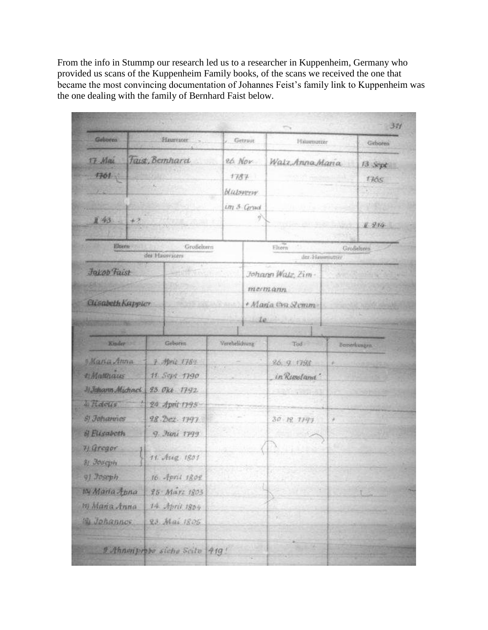From the info in Stummp our research led us to a researcher in Kuppenheim, Germany who provided us scans of the Kuppenheim Family books, of the scans we received the one that became the most convincing documentation of Johannes Feist's family link to Kuppenheim was the one dealing with the family of Bernhard Faist below.

|                                                |                                 |                                   |                               |                                                                |              | 311                  |
|------------------------------------------------|---------------------------------|-----------------------------------|-------------------------------|----------------------------------------------------------------|--------------|----------------------|
| Geboren                                        | Haureater                       |                                   | Getraut                       | Hausmutter                                                     |              | Gidsoren             |
| 17 Mai                                         | Taist, Bernhard                 |                                   | 26 Nov                        | Walz, Anna Maria                                               |              | $13$ Sept            |
| $7361 -$<br><b>DEC:</b>                        |                                 |                                   | 1787                          |                                                                |              | 1765                 |
|                                                |                                 |                                   | <b><i><u>Halsvery</u></i></b> |                                                                |              | the                  |
|                                                |                                 |                                   | un 3 Grad                     |                                                                |              |                      |
| 且43.<br>$+2$                                   |                                 |                                   | g)                            |                                                                |              | 11 214               |
|                                                |                                 |                                   |                               |                                                                |              |                      |
| Eltern<br>Großeitern<br>des blauvräters        |                                 |                                   | Eltern<br>der Vlausmutter     |                                                                |              | Großelneen           |
| Jakob Faist<br>200<br><b>Clisabeth Kappler</b> |                                 | <b>ROCKET AND ARRIVED FOR THE</b> |                               | Johann Watz, Zim-<br>mermann<br>· Maria Cva Stemm<br>$10 - 10$ |              | <b>VIEWS ARRESTS</b> |
| Knder :                                        | Geboren                         | Verehelichung                     |                               | Tod in                                                         | Bemerkungen. |                      |
| Mana Anna                                      | $7 -$ Marit 1784                |                                   |                               | 26.9.1793                                                      | ×            |                      |
| 2 Matthaus                                     | 11 Sept 1790                    |                                   |                               | in Russland'                                                   |              |                      |
| 3) Jahann Michael                              | 23. Okt. 1792                   |                                   |                               | <b>Charles Company Company Company</b>                         |              |                      |
| <i>hidells</i>                                 | 24 April 1795                   |                                   |                               |                                                                |              |                      |
| <b>S)</b> Johannes                             | 28. Dez. 1797                   |                                   |                               | 30 12 1197                                                     | ¥            |                      |
| il Elisabeth                                   | 9. Juni 1799                    |                                   |                               |                                                                |              |                      |
| 7) Gregor                                      | 11. Aug. 1801                   |                                   |                               |                                                                |              |                      |
| 81 Joseph                                      |                                 |                                   |                               |                                                                |              |                      |
| 9) Toseph                                      | 16 April 1802                   |                                   |                               |                                                                |              |                      |
| 10 Maria Anna                                  | 25 Mars 1803                    |                                   |                               |                                                                |              |                      |
| m Maña Anna                                    | 14 April 1804                   |                                   |                               |                                                                |              |                      |
| <b>B. Johannes</b>                             | 23 Mai 1805                     |                                   |                               |                                                                |              |                      |
|                                                | 2 Ahnenprope siche Scite   419! |                                   |                               |                                                                |              |                      |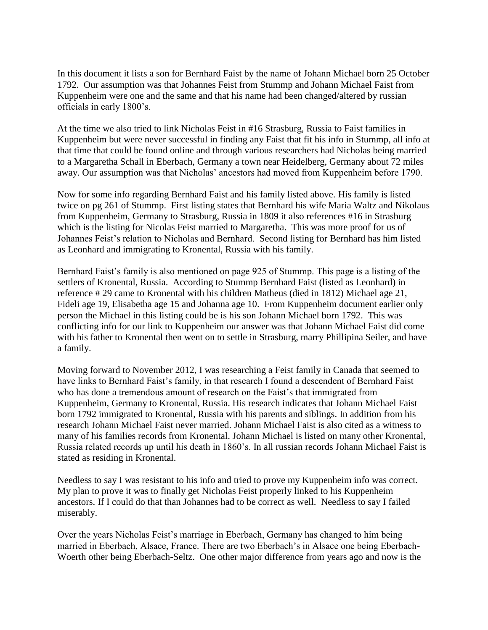In this document it lists a son for Bernhard Faist by the name of Johann Michael born 25 October 1792. Our assumption was that Johannes Feist from Stummp and Johann Michael Faist from Kuppenheim were one and the same and that his name had been changed/altered by russian officials in early 1800's.

At the time we also tried to link Nicholas Feist in #16 Strasburg, Russia to Faist families in Kuppenheim but were never successful in finding any Faist that fit his info in Stummp, all info at that time that could be found online and through various researchers had Nicholas being married to a Margaretha Schall in Eberbach, Germany a town near Heidelberg, Germany about 72 miles away. Our assumption was that Nicholas' ancestors had moved from Kuppenheim before 1790.

Now for some info regarding Bernhard Faist and his family listed above. His family is listed twice on pg 261 of Stummp. First listing states that Bernhard his wife Maria Waltz and Nikolaus from Kuppenheim, Germany to Strasburg, Russia in 1809 it also references #16 in Strasburg which is the listing for Nicolas Feist married to Margaretha. This was more proof for us of Johannes Feist's relation to Nicholas and Bernhard. Second listing for Bernhard has him listed as Leonhard and immigrating to Kronental, Russia with his family.

Bernhard Faist's family is also mentioned on page 925 of Stummp. This page is a listing of the settlers of Kronental, Russia. According to Stummp Bernhard Faist (listed as Leonhard) in reference # 29 came to Kronental with his children Matheus (died in 1812) Michael age 21, Fideli age 19, Elisabetha age 15 and Johanna age 10. From Kuppenheim document earlier only person the Michael in this listing could be is his son Johann Michael born 1792. This was conflicting info for our link to Kuppenheim our answer was that Johann Michael Faist did come with his father to Kronental then went on to settle in Strasburg, marry Phillipina Seiler, and have a family.

Moving forward to November 2012, I was researching a Feist family in Canada that seemed to have links to Bernhard Faist's family, in that research I found a descendent of Bernhard Faist who has done a tremendous amount of research on the Faist's that immigrated from Kuppenheim, Germany to Kronental, Russia. His research indicates that Johann Michael Faist born 1792 immigrated to Kronental, Russia with his parents and siblings. In addition from his research Johann Michael Faist never married. Johann Michael Faist is also cited as a witness to many of his families records from Kronental. Johann Michael is listed on many other Kronental, Russia related records up until his death in 1860's. In all russian records Johann Michael Faist is stated as residing in Kronental.

Needless to say I was resistant to his info and tried to prove my Kuppenheim info was correct. My plan to prove it was to finally get Nicholas Feist properly linked to his Kuppenheim ancestors. If I could do that than Johannes had to be correct as well. Needless to say I failed miserably.

Over the years Nicholas Feist's marriage in Eberbach, Germany has changed to him being married in Eberbach, Alsace, France. There are two Eberbach's in Alsace one being Eberbach-Woerth other being Eberbach-Seltz. One other major difference from years ago and now is the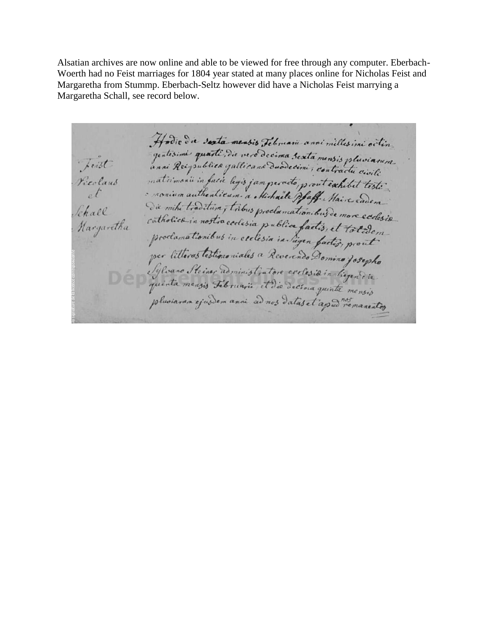Alsatian archives are now online and able to be viewed for free through any computer. Eberbach-Woerth had no Feist marriages for 1804 year stated at many places online for Nicholas Feist and Margaretha from Stummp. Eberbach-Seltz however did have a Nicholas Feist marrying a Margaretha Schall, see record below.

Hodie die sexta mensis Jebruarie anni milles ini octin apporte che sera menos permane anni milles ini octin-<br>quatisimi quarti die vero decima sexta mensis pluvianum Teist matrimonii in facie legis jam perado prout exhibit teste Realant  $\frac{1}{2}$ Die mini tradituin, tribus proclamationibusde more ecclesis Schall catholica in nostia cedesia publica factis, et totalem Hargaretha prodamationibus in ceclesia in Sigen factis, et totidem pluviaran ejusdem anni ad nos datas et apud nos manentes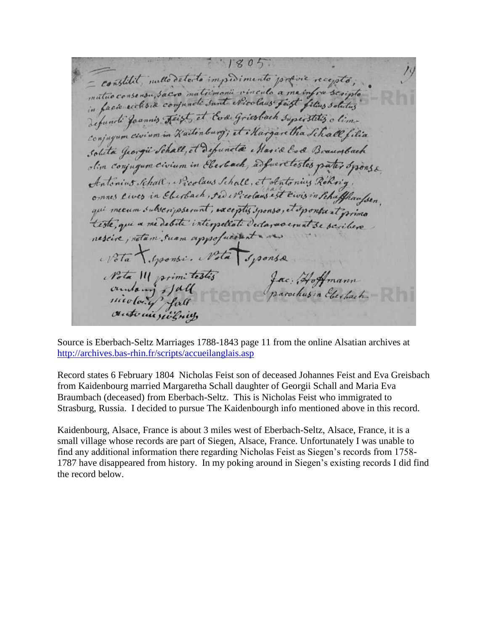$1805$ - constitut, initio detecto impresimento propine recepto; matuo consensu, sacro matrimonii vinculo a me infra scripto defuncti francis Feist, et Eva Griesbach superstitis a limconjugum civium in Kaitenburg; et Margaretha Schall filia solita Jeorgie Schall, et depunda Maria Eva Braunbach olim conjugum civium in Eberbach, adfueratestes pater Sponse Antonius Schall, Nicolaus Schall, et Antonius Roknig, ornnes lives in Eberbach, sed Nicolaus est Eivis in Schaffhaufsen qui mecum subvenipsement; exceptis sponso; et sponsuat primo Nota III primitestis Jac: Hoffmann<br>outours of public parochus devoted.

Source is Eberbach-Seltz Marriages 1788-1843 page 11 from the online Alsatian archives at <http://archives.bas-rhin.fr/scripts/accueilanglais.asp>

Record states 6 February 1804 Nicholas Feist son of deceased Johannes Feist and Eva Greisbach from Kaidenbourg married Margaretha Schall daughter of Georgii Schall and Maria Eva Braumbach (deceased) from Eberbach-Seltz. This is Nicholas Feist who immigrated to Strasburg, Russia. I decided to pursue The Kaidenbourgh info mentioned above in this record.

Kaidenbourg, Alsace, France is about 3 miles west of Eberbach-Seltz, Alsace, France, it is a small village whose records are part of Siegen, Alsace, France. Unfortunately I was unable to find any additional information there regarding Nicholas Feist as Siegen's records from 1758- 1787 have disappeared from history. In my poking around in Siegen's existing records I did find the record below.